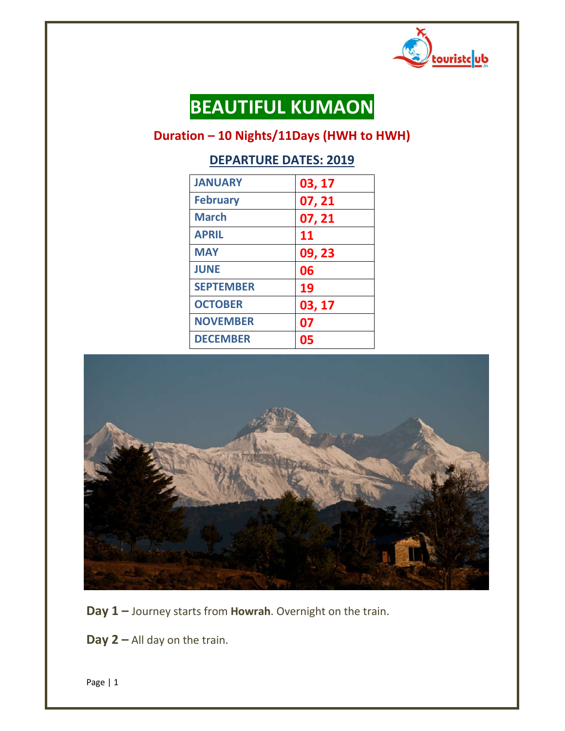

# **BEAUTIFUL KUMAON**

# **Duration – 10 Nights/11Days (HWH to HWH)**

# **DEPARTURE DATES: 2019**

| <b>JANUARY</b>   | 03, 17 |
|------------------|--------|
| <b>February</b>  | 07, 21 |
| <b>March</b>     | 07, 21 |
| <b>APRIL</b>     | 11     |
| <b>MAY</b>       | 09, 23 |
| <b>JUNE</b>      | 06     |
| <b>SEPTEMBER</b> | 19     |
| <b>OCTOBER</b>   | 03, 17 |
| <b>NOVEMBER</b>  | 07     |
| <b>DECEMBER</b>  | 05     |



**Day 1 –** Journey starts from **Howrah**. Overnight on the train.

**Day 2 –** All day on the train.

Page | 1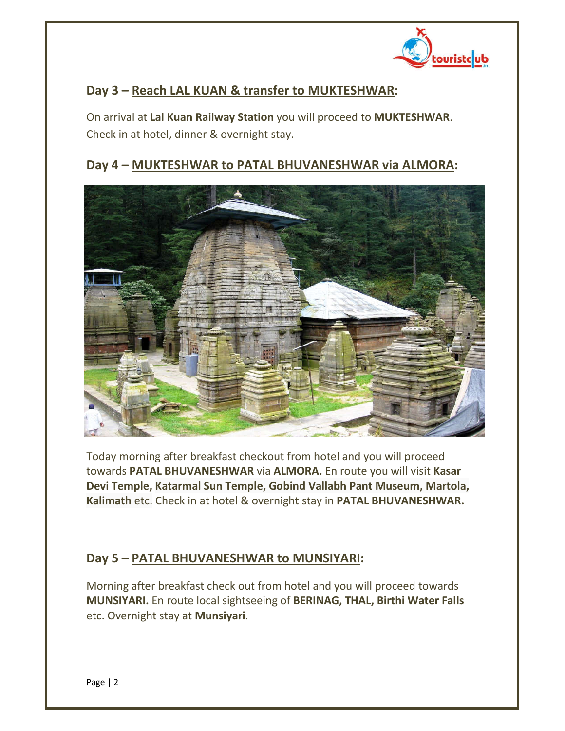

## **Day 3 – Reach LAL KUAN & transfer to MUKTESHWAR:**

On arrival at **Lal Kuan Railway Station** you will proceed to **MUKTESHWAR**. Check in at hotel, dinner & overnight stay.

## **Day 4 – MUKTESHWAR to PATAL BHUVANESHWAR via ALMORA:**



Today morning after breakfast checkout from hotel and you will proceed towards **PATAL BHUVANESHWAR** via **ALMORA.** En route you will visit **Kasar Devi Temple, Katarmal Sun Temple, Gobind Vallabh Pant Museum, Martola, Kalimath** etc. Check in at hotel & overnight stay in **PATAL BHUVANESHWAR.**

## **Day 5 – PATAL BHUVANESHWAR to MUNSIYARI:**

Morning after breakfast check out from hotel and you will proceed towards **MUNSIYARI.** En route local sightseeing of **BERINAG, THAL, Birthi Water Falls** etc. Overnight stay at **Munsiyari**.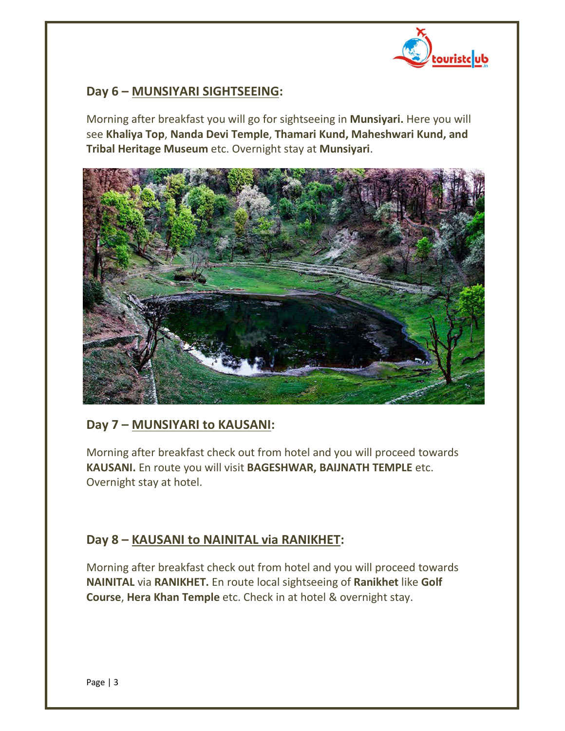

#### **Day 6 – MUNSIYARI SIGHTSEEING:**

Morning after breakfast you will go for sightseeing in **Munsiyari.** Here you will see **Khaliya Top**, **Nanda Devi Temple**, **Thamari Kund, Maheshwari Kund, and Tribal Heritage Museum** etc. Overnight stay at **Munsiyari**.



## **Day 7 – MUNSIYARI to KAUSANI:**

Morning after breakfast check out from hotel and you will proceed towards **KAUSANI.** En route you will visit **BAGESHWAR, BAIJNATH TEMPLE** etc. Overnight stay at hotel.

## **Day 8 – KAUSANI to NAINITAL via RANIKHET:**

Morning after breakfast check out from hotel and you will proceed towards **NAINITAL** via **RANIKHET.** En route local sightseeing of **Ranikhet** like **Golf Course**, **Hera Khan Temple** etc. Check in at hotel & overnight stay.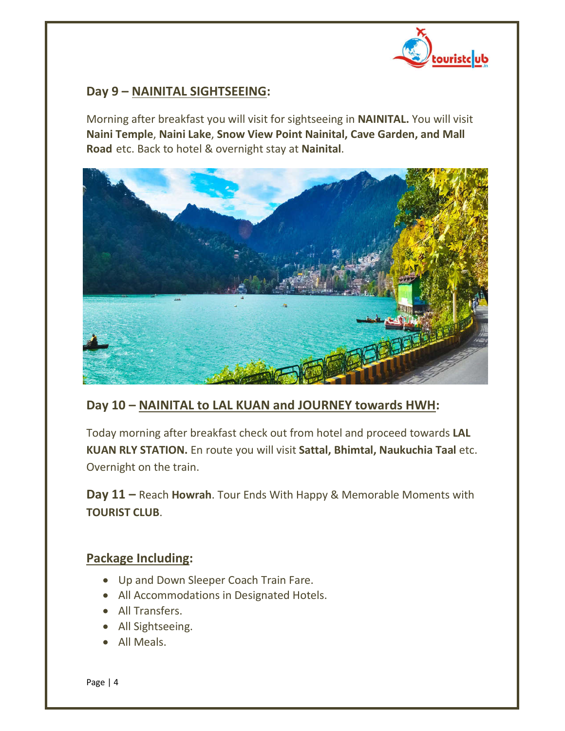

#### **Day 9 – NAINITAL SIGHTSEEING:**

Morning after breakfast you will visit for sightseeing in **NAINITAL.** You will visit **Naini Temple**, **Naini Lake**, **Snow View Point Nainital, Cave Garden, and Mall Road** etc. Back to hotel & overnight stay at **Nainital**.



## **Day 10 – NAINITAL to LAL KUAN and JOURNEY towards HWH:**

Today morning after breakfast check out from hotel and proceed towards **LAL KUAN RLY STATION.** En route you will visit **Sattal, Bhimtal, Naukuchia Taal** etc. Overnight on the train.

**Day 11 –** Reach **Howrah**. Tour Ends With Happy & Memorable Moments with **TOURIST CLUB**.

#### **Package Including:**

- Up and Down Sleeper Coach Train Fare.
- All Accommodations in Designated Hotels.
- All Transfers.
- All Sightseeing.
- All Meals.

Page | 4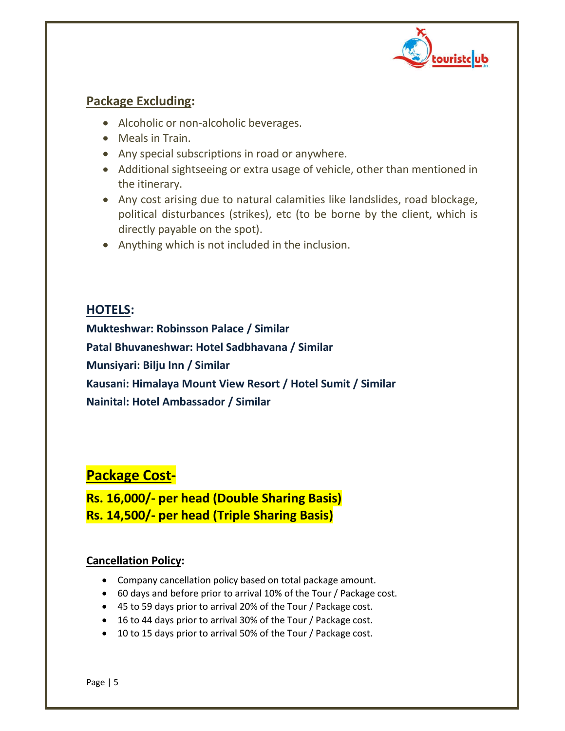

#### **Package Excluding:**

- Alcoholic or non-alcoholic beverages.
- Meals in Train.
- Any special subscriptions in road or anywhere.
- Additional sightseeing or extra usage of vehicle, other than mentioned in the itinerary.
- Any cost arising due to natural calamities like landslides, road blockage, political disturbances (strikes), etc (to be borne by the client, which is directly payable on the spot).
- Anything which is not included in the inclusion.

#### **HOTELS:**

**Mukteshwar: Robinsson Palace / Similar Patal Bhuvaneshwar: Hotel Sadbhavana / Similar Munsiyari: Bilju Inn / Similar Kausani: Himalaya Mount View Resort / Hotel Sumit / Similar Nainital: Hotel Ambassador / Similar**

## **Package Cost-**

**Rs. 16,000/- per head (Double Sharing Basis) Rs. 14,500/- per head (Triple Sharing Basis)**

#### **Cancellation Policy:**

- Company cancellation policy based on total package amount.
- 60 days and before prior to arrival 10% of the Tour / Package cost.
- 45 to 59 days prior to arrival 20% of the Tour / Package cost.
- 16 to 44 days prior to arrival 30% of the Tour / Package cost.
- 10 to 15 days prior to arrival 50% of the Tour / Package cost.